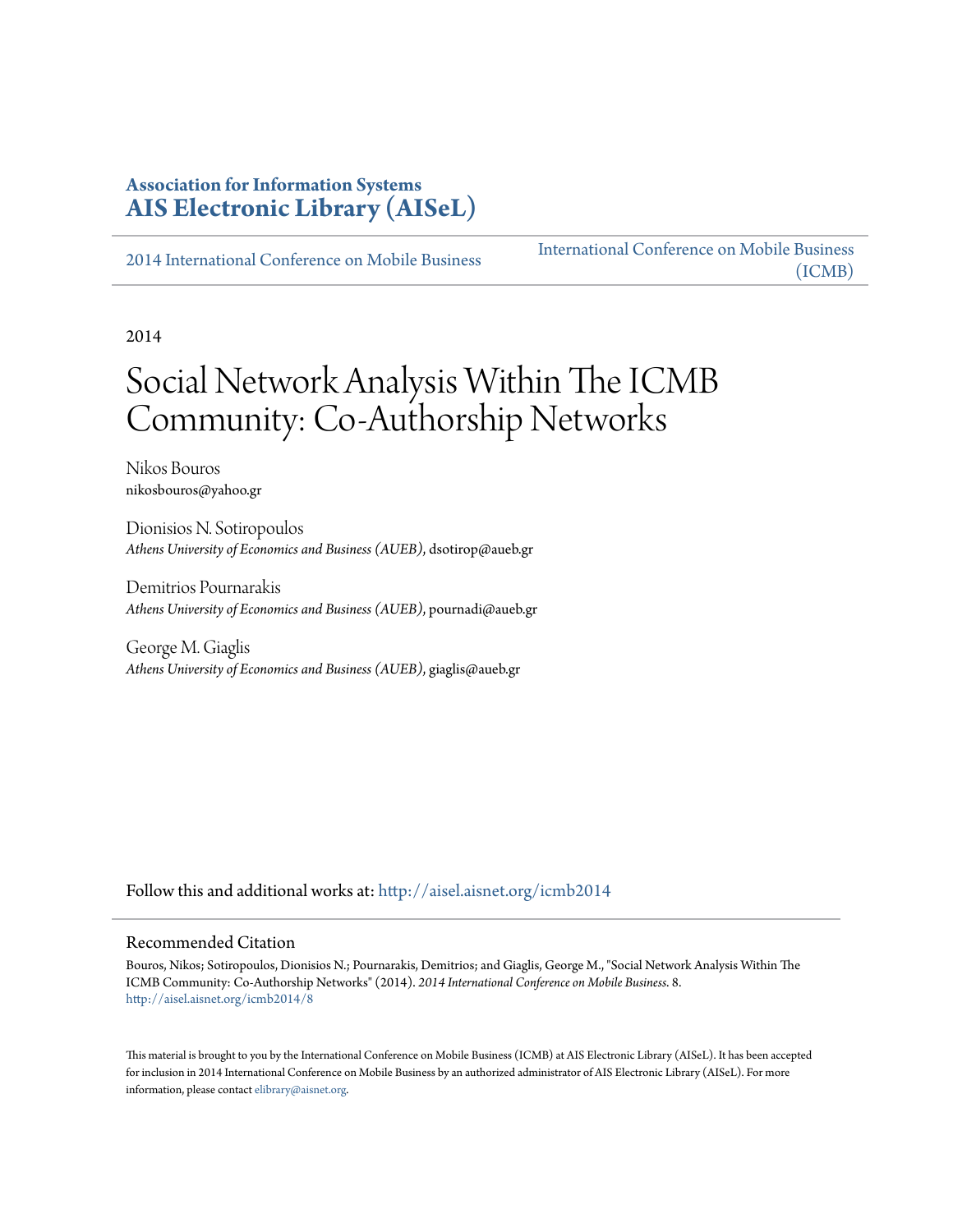### **Association for Information Systems [AIS Electronic Library \(AISeL\)](http://aisel.aisnet.org?utm_source=aisel.aisnet.org%2Ficmb2014%2F8&utm_medium=PDF&utm_campaign=PDFCoverPages)**

[2014 International Conference on Mobile Business](http://aisel.aisnet.org/icmb2014?utm_source=aisel.aisnet.org%2Ficmb2014%2F8&utm_medium=PDF&utm_campaign=PDFCoverPages)

[International Conference on Mobile Business](http://aisel.aisnet.org/icmb?utm_source=aisel.aisnet.org%2Ficmb2014%2F8&utm_medium=PDF&utm_campaign=PDFCoverPages) [\(ICMB\)](http://aisel.aisnet.org/icmb?utm_source=aisel.aisnet.org%2Ficmb2014%2F8&utm_medium=PDF&utm_campaign=PDFCoverPages)

2014

# Social Network Analysis Within The ICMB Community: Co-Authorship Networks

Nikos Bouros nikosbouros@yahoo.gr

Dionisios N. Sotiropoulos *Athens University of Economics and Business (AUEB)*, dsotirop@aueb.gr

Demitrios Pournarakis *Athens University of Economics and Business (AUEB)*, pournadi@aueb.gr

George M. Giaglis *Athens University of Economics and Business (AUEB)*, giaglis@aueb.gr

Follow this and additional works at: [http://aisel.aisnet.org/icmb2014](http://aisel.aisnet.org/icmb2014?utm_source=aisel.aisnet.org%2Ficmb2014%2F8&utm_medium=PDF&utm_campaign=PDFCoverPages)

#### Recommended Citation

Bouros, Nikos; Sotiropoulos, Dionisios N.; Pournarakis, Demitrios; and Giaglis, George M., "Social Network Analysis Within The ICMB Community: Co-Authorship Networks" (2014). *2014 International Conference on Mobile Business*. 8. [http://aisel.aisnet.org/icmb2014/8](http://aisel.aisnet.org/icmb2014/8?utm_source=aisel.aisnet.org%2Ficmb2014%2F8&utm_medium=PDF&utm_campaign=PDFCoverPages)

This material is brought to you by the International Conference on Mobile Business (ICMB) at AIS Electronic Library (AISeL). It has been accepted for inclusion in 2014 International Conference on Mobile Business by an authorized administrator of AIS Electronic Library (AISeL). For more information, please contact [elibrary@aisnet.org.](mailto:elibrary@aisnet.org%3E)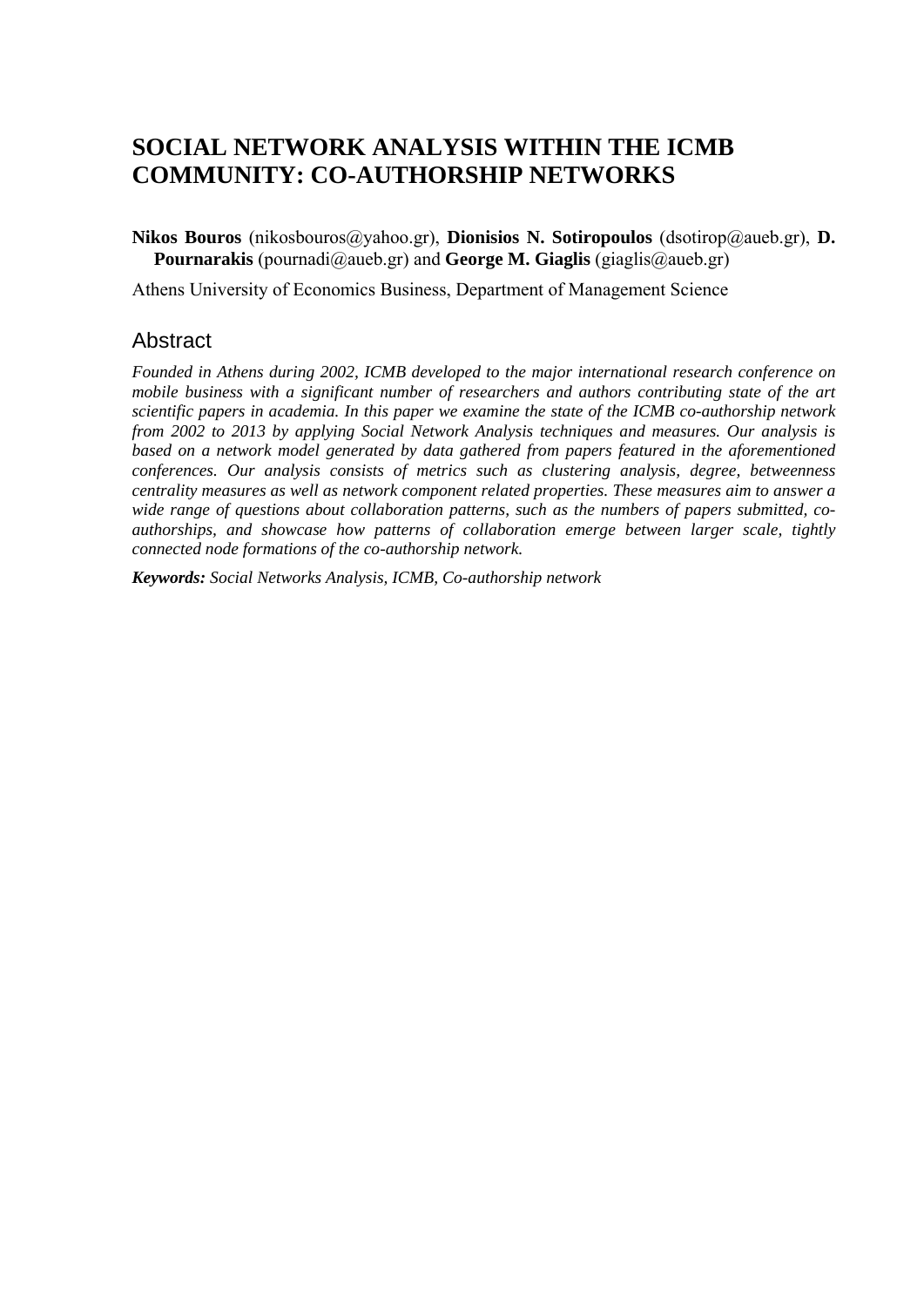## **SOCIAL NETWORK ANALYSIS WITHIN THE ICMB COMMUNITY: CO-AUTHORSHIP NETWORKS**

**Nikos Bouros** (nikosbouros@yahoo.gr), **Dionisios N. Sotiropoulos** (dsotirop@aueb.gr), **D. Pournarakis** (pournadi@aueb.gr) and **George M. Giaglis** (giaglis@aueb.gr)

Athens University of Economics Business, Department of Management Science

### Abstract

*Founded in Athens during 2002, ICMB developed to the major international research conference on mobile business with a significant number of researchers and authors contributing state of the art scientific papers in academia. In this paper we examine the state of the ICMB co-authorship network from 2002 to 2013 by applying Social Network Analysis techniques and measures. Our analysis is based on a network model generated by data gathered from papers featured in the aforementioned conferences. Our analysis consists of metrics such as clustering analysis, degree, betweenness centrality measures as well as network component related properties. These measures aim to answer a wide range of questions about collaboration patterns, such as the numbers of papers submitted, coauthorships, and showcase how patterns of collaboration emerge between larger scale, tightly connected node formations of the co-authorship network.* 

*Keywords: Social Networks Analysis, ICMB, Co-authorship network*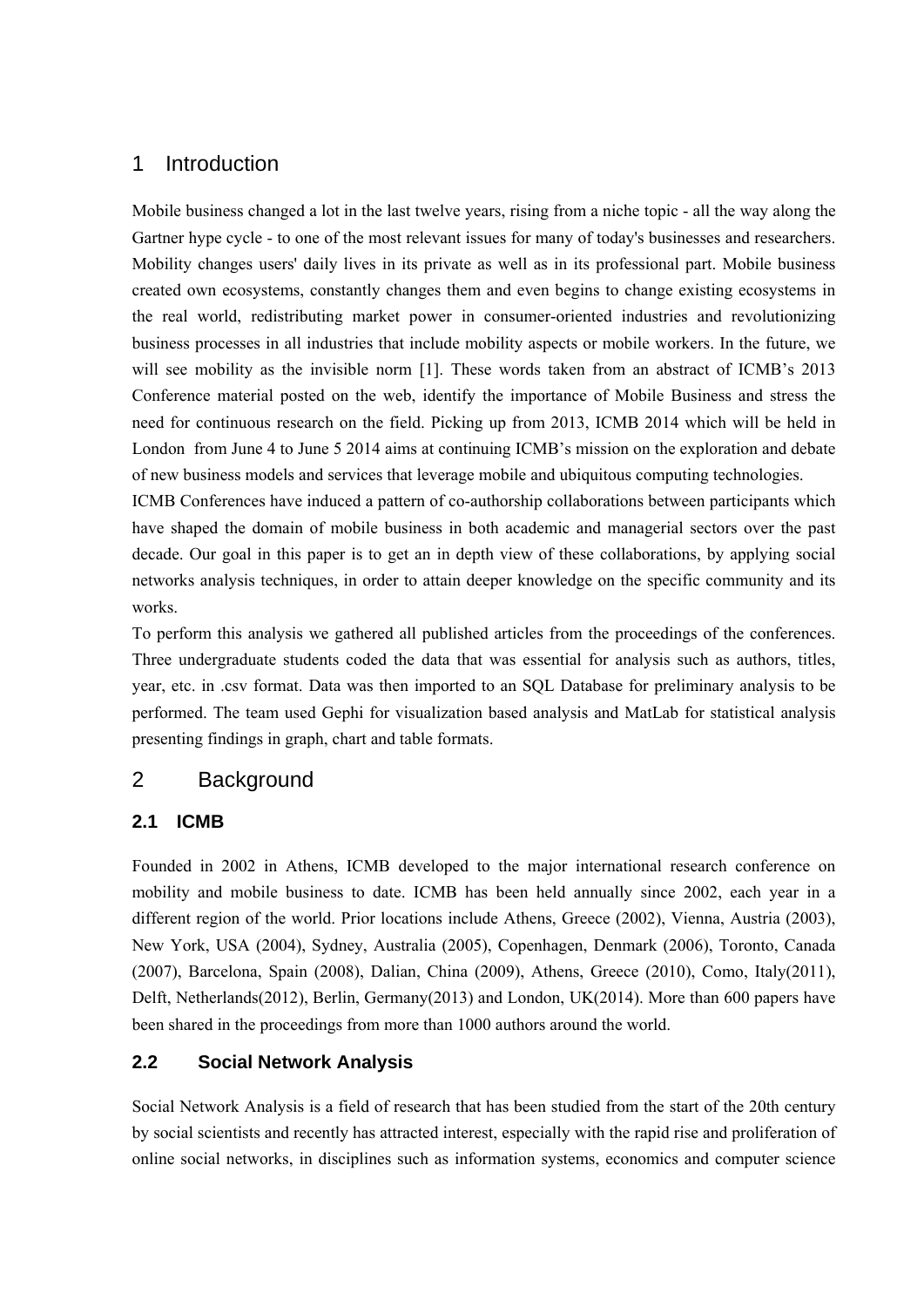### 1 Introduction

Mobile business changed a lot in the last twelve years, rising from a niche topic - all the way along the Gartner hype cycle - to one of the most relevant issues for many of today's businesses and researchers. Mobility changes users' daily lives in its private as well as in its professional part. Mobile business created own ecosystems, constantly changes them and even begins to change existing ecosystems in the real world, redistributing market power in consumer-oriented industries and revolutionizing business processes in all industries that include mobility aspects or mobile workers. In the future, we will see mobility as the invisible norm [1]. These words taken from an abstract of ICMB's 2013 Conference material posted on the web, identify the importance of Mobile Business and stress the need for continuous research on the field. Picking up from 2013, ICMB 2014 which will be held in London from June 4 to June 5 2014 aims at continuing ICMB's mission on the exploration and debate of new business models and services that leverage mobile and ubiquitous computing technologies.

ICMB Conferences have induced a pattern of co-authorship collaborations between participants which have shaped the domain of mobile business in both academic and managerial sectors over the past decade. Our goal in this paper is to get an in depth view of these collaborations, by applying social networks analysis techniques, in order to attain deeper knowledge on the specific community and its works.

To perform this analysis we gathered all published articles from the proceedings of the conferences. Three undergraduate students coded the data that was essential for analysis such as authors, titles, year, etc. in .csv format. Data was then imported to an SQL Database for preliminary analysis to be performed. The team used Gephi for visualization based analysis and MatLab for statistical analysis presenting findings in graph, chart and table formats.

### 2 Background

### **2.1 ICMB**

Founded in 2002 in Athens, ICMB developed to the major international research conference on mobility and mobile business to date. ICMB has been held annually since 2002, each year in a different region of the world. Prior locations include Athens, Greece (2002), Vienna, Austria (2003), New York, USA (2004), Sydney, Australia (2005), Copenhagen, Denmark (2006), Toronto, Canada (2007), Barcelona, Spain (2008), Dalian, China (2009), Athens, Greece (2010), Como, Italy(2011), Delft, Netherlands(2012), Berlin, Germany(2013) and London, UK(2014). More than 600 papers have been shared in the proceedings from more than 1000 authors around the world.

### **2.2 Social Network Analysis**

Social Network Analysis is a field of research that has been studied from the start of the 20th century by social scientists and recently has attracted interest, especially with the rapid rise and proliferation of online social networks, in disciplines such as information systems, economics and computer science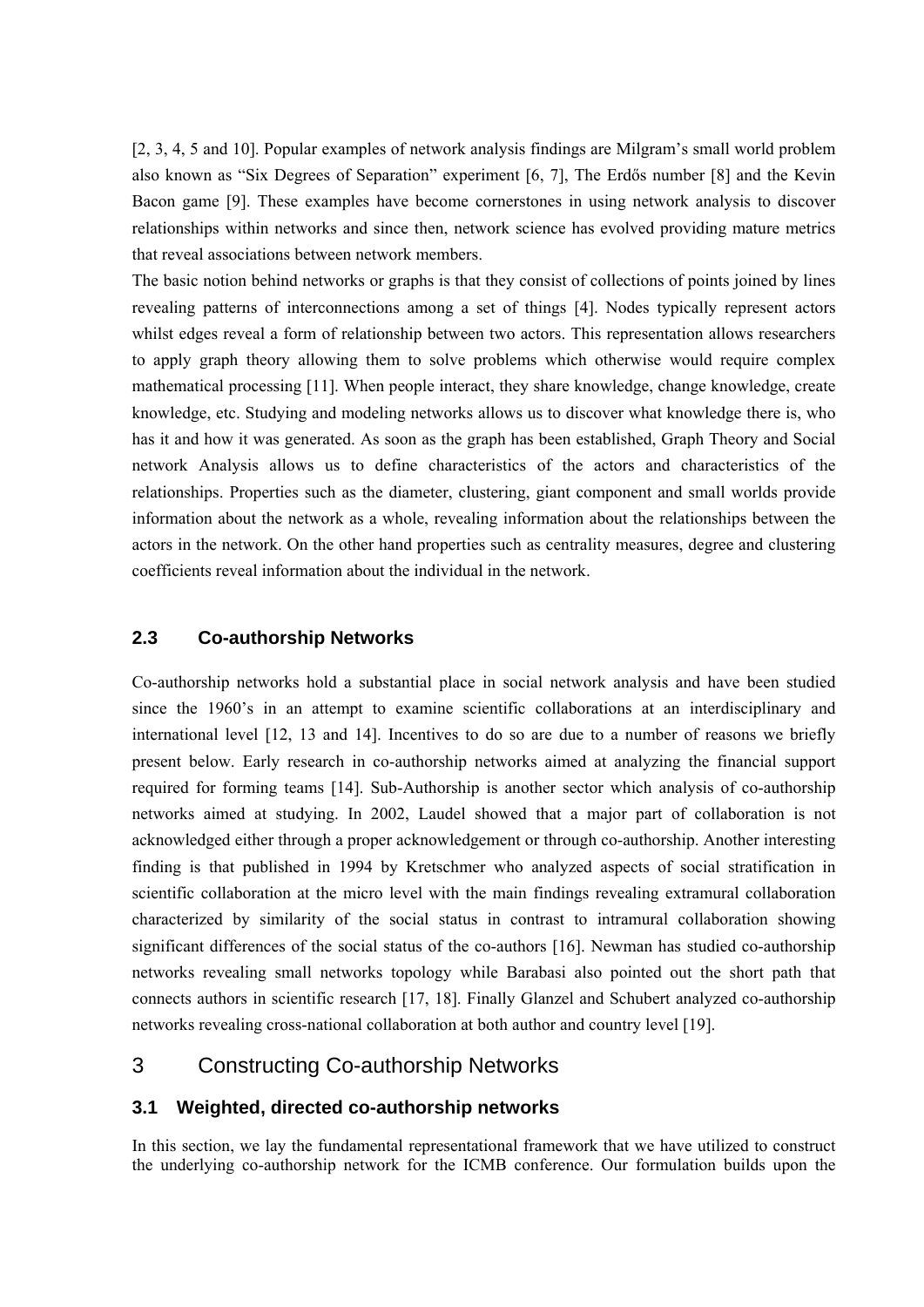[2, 3, 4, 5 and 10]. Popular examples of network analysis findings are Milgram's small world problem also known as "Six Degrees of Separation" experiment [6, 7], The Erdős number [8] and the Kevin Bacon game [9]. These examples have become cornerstones in using network analysis to discover relationships within networks and since then, network science has evolved providing mature metrics that reveal associations between network members.

The basic notion behind networks or graphs is that they consist of collections of points joined by lines revealing patterns of interconnections among a set of things [4]. Nodes typically represent actors whilst edges reveal a form of relationship between two actors. This representation allows researchers to apply graph theory allowing them to solve problems which otherwise would require complex mathematical processing [11]. When people interact, they share knowledge, change knowledge, create knowledge, etc. Studying and modeling networks allows us to discover what knowledge there is, who has it and how it was generated. As soon as the graph has been established, Graph Theory and Social network Analysis allows us to define characteristics of the actors and characteristics of the relationships. Properties such as the diameter, clustering, giant component and small worlds provide information about the network as a whole, revealing information about the relationships between the actors in the network. On the other hand properties such as centrality measures, degree and clustering coefficients reveal information about the individual in the network.

#### **2.3 Co-authorship Networks**

Co-authorship networks hold a substantial place in social network analysis and have been studied since the 1960's in an attempt to examine scientific collaborations at an interdisciplinary and international level [12, 13 and 14]. Incentives to do so are due to a number of reasons we briefly present below. Early research in co-authorship networks aimed at analyzing the financial support required for forming teams [14]. Sub-Authorship is another sector which analysis of co-authorship networks aimed at studying. In 2002, Laudel showed that a major part of collaboration is not acknowledged either through a proper acknowledgement or through co-authorship. Another interesting finding is that published in 1994 by Kretschmer who analyzed aspects of social stratification in scientific collaboration at the micro level with the main findings revealing extramural collaboration characterized by similarity of the social status in contrast to intramural collaboration showing significant differences of the social status of the co-authors [16]. Newman has studied co-authorship networks revealing small networks topology while Barabasi also pointed out the short path that connects authors in scientific research [17, 18]. Finally Glanzel and Schubert analyzed co-authorship networks revealing cross-national collaboration at both author and country level [19].

### 3 Constructing Co-authorship Networks

#### **3.1 Weighted, directed co-authorship networks**

In this section, we lay the fundamental representational framework that we have utilized to construct the underlying co-authorship network for the ICMB conference. Our formulation builds upon the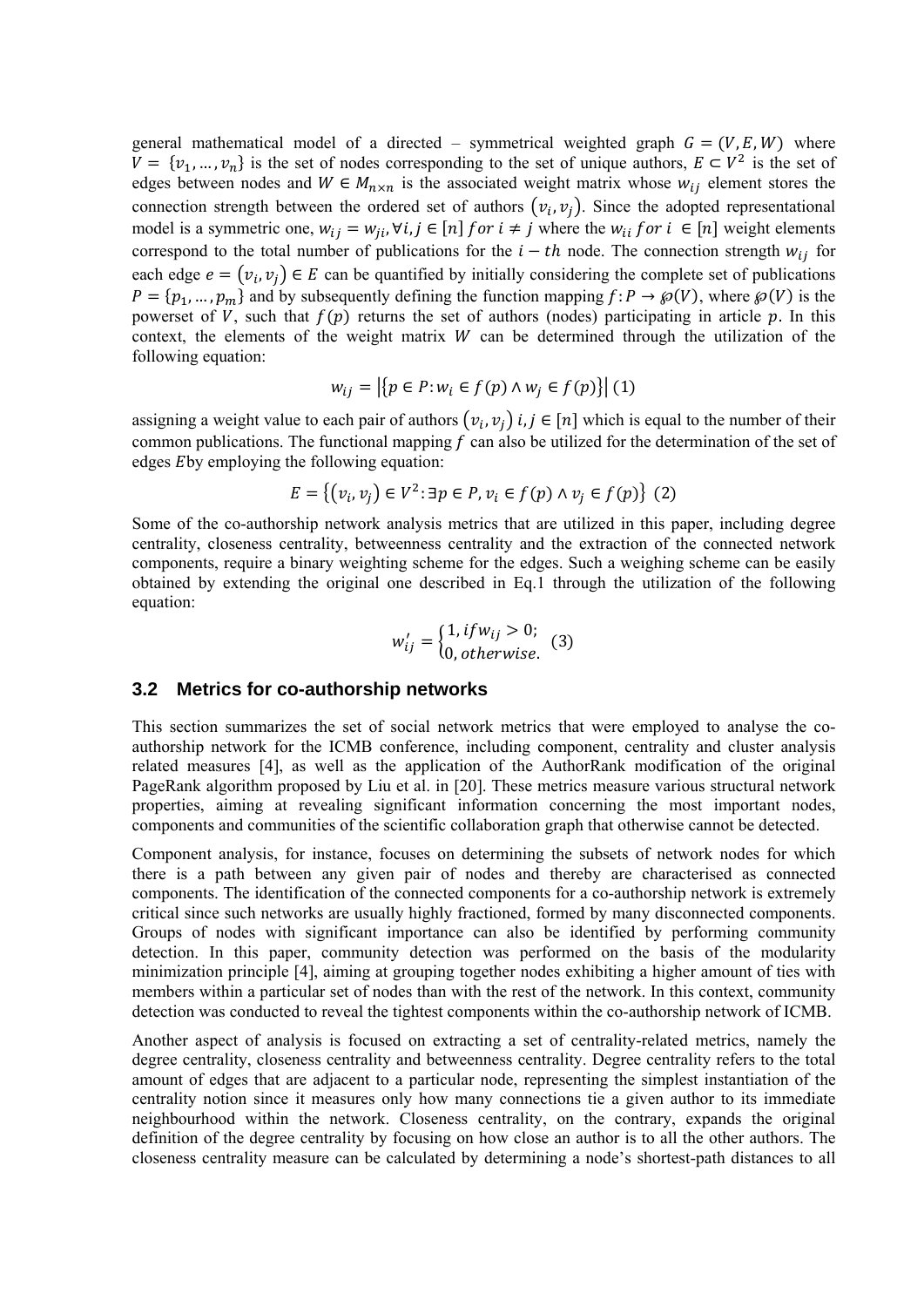general mathematical model of a directed – symmetrical weighted graph  $G = (V, E, W)$  where  $V = \{v_1, ..., v_n\}$  is the set of nodes corresponding to the set of unique authors,  $E \subset V^2$  is the set of edges between nodes and  $W \in M_{n \times n}$  is the associated weight matrix whose  $w_{ij}$  element stores the connection strength between the ordered set of authors  $(v_i, v_i)$ . Since the adopted representational model is a symmetric one,  $w_{ij} = w_{ji}$ ,  $\forall i, j \in [n]$  for  $i \neq j$  where the  $w_{ii}$  for  $i \in [n]$  weight elements correspond to the total number of publications for the  $i-th$  node. The connection strength  $w_{ij}$  for each edge  $e = (v_i, v_j) \in E$  can be quantified by initially considering the complete set of publications  $P = \{p_1, ..., p_m\}$  and by subsequently defining the function mapping  $f: P \to \mathcal{P}(V)$ , where  $\mathcal{P}(V)$  is the powerset of V, such that  $f(p)$  returns the set of authors (nodes) participating in article p. In this context, the elements of the weight matrix  $W$  can be determined through the utilization of the following equation:

$$
w_{ij} = |\{p \in P : w_i \in f(p) \land w_j \in f(p)\}| \tag{1}
$$

assigning a weight value to each pair of authors  $(v_i, v_j)$  *i*,  $j \in [n]$  which is equal to the number of their common publications. The functional mapping  $f$  can also be utilized for the determination of the set of edges Eby employing the following equation:

$$
E = \{ (v_i, v_j) \in V^2 : \exists p \in P, v_i \in f(p) \land v_j \in f(p) \} \tag{2}
$$

Some of the co-authorship network analysis metrics that are utilized in this paper, including degree centrality, closeness centrality, betweenness centrality and the extraction of the connected network components, require a binary weighting scheme for the edges. Such a weighing scheme can be easily obtained by extending the original one described in Eq.1 through the utilization of the following equation:

$$
w'_{ij} = \begin{cases} 1, if w_{ij} > 0; \\ 0, otherwise. \end{cases}
$$
 (3)

#### **3.2 Metrics for co-authorship networks**

This section summarizes the set of social network metrics that were employed to analyse the coauthorship network for the ICMB conference, including component, centrality and cluster analysis related measures [4], as well as the application of the AuthorRank modification of the original PageRank algorithm proposed by Liu et al. in [20]. These metrics measure various structural network properties, aiming at revealing significant information concerning the most important nodes, components and communities of the scientific collaboration graph that otherwise cannot be detected.

Component analysis, for instance, focuses on determining the subsets of network nodes for which there is a path between any given pair of nodes and thereby are characterised as connected components. The identification of the connected components for a co-authorship network is extremely critical since such networks are usually highly fractioned, formed by many disconnected components. Groups of nodes with significant importance can also be identified by performing community detection. In this paper, community detection was performed on the basis of the modularity minimization principle [4], aiming at grouping together nodes exhibiting a higher amount of ties with members within a particular set of nodes than with the rest of the network. In this context, community detection was conducted to reveal the tightest components within the co-authorship network of ICMB.

Another aspect of analysis is focused on extracting a set of centrality-related metrics, namely the degree centrality, closeness centrality and betweenness centrality. Degree centrality refers to the total amount of edges that are adjacent to a particular node, representing the simplest instantiation of the centrality notion since it measures only how many connections tie a given author to its immediate neighbourhood within the network. Closeness centrality, on the contrary, expands the original definition of the degree centrality by focusing on how close an author is to all the other authors. The closeness centrality measure can be calculated by determining a node's shortest-path distances to all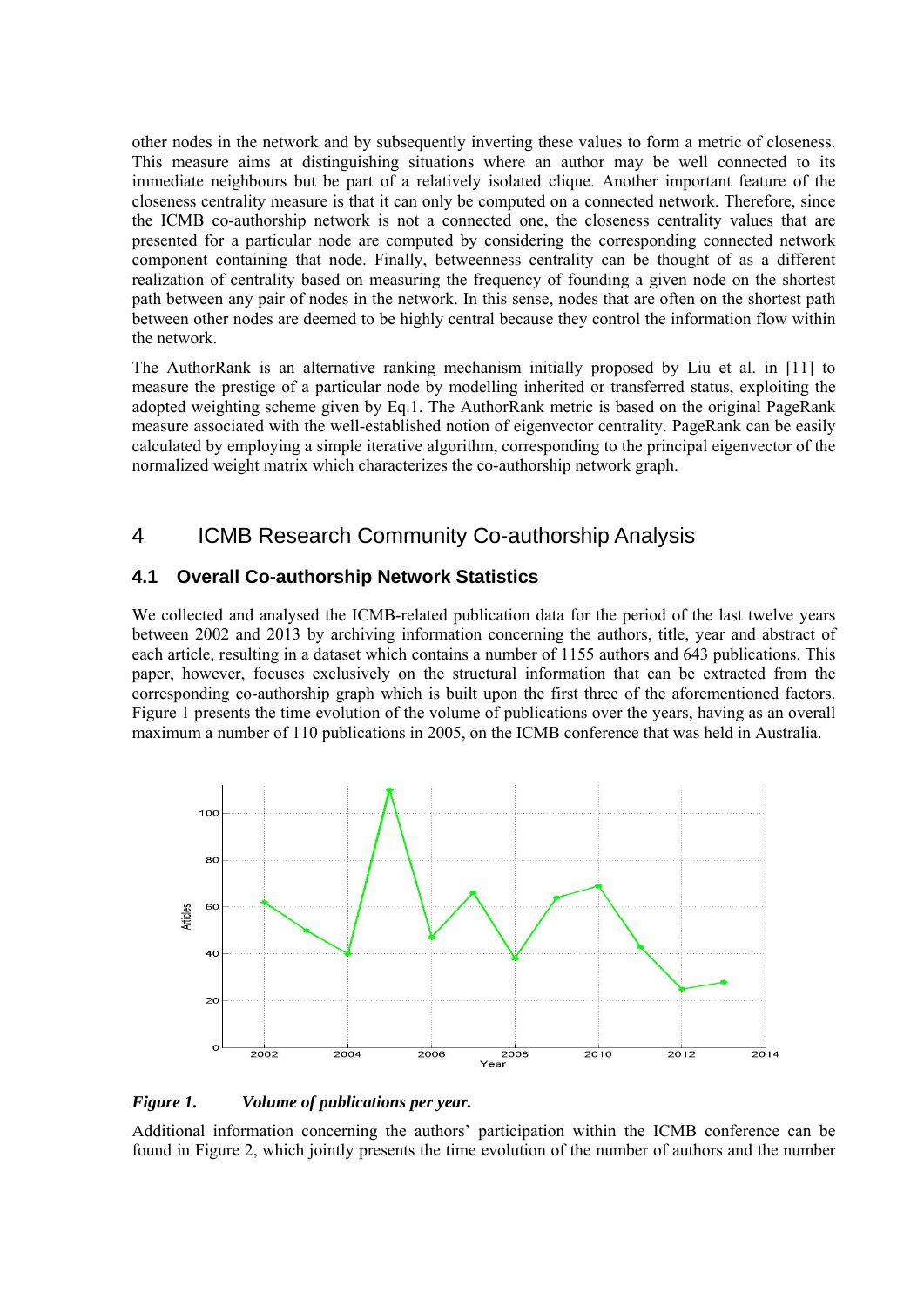other nodes in the network and by subsequently inverting these values to form a metric of closeness. This measure aims at distinguishing situations where an author may be well connected to its immediate neighbours but be part of a relatively isolated clique. Another important feature of the closeness centrality measure is that it can only be computed on a connected network. Therefore, since the ICMB co-authorship network is not a connected one, the closeness centrality values that are presented for a particular node are computed by considering the corresponding connected network component containing that node. Finally, betweenness centrality can be thought of as a different realization of centrality based on measuring the frequency of founding a given node on the shortest path between any pair of nodes in the network. In this sense, nodes that are often on the shortest path between other nodes are deemed to be highly central because they control the information flow within the network.

The AuthorRank is an alternative ranking mechanism initially proposed by Liu et al. in [11] to measure the prestige of a particular node by modelling inherited or transferred status, exploiting the adopted weighting scheme given by Eq.1. The AuthorRank metric is based on the original PageRank measure associated with the well-established notion of eigenvector centrality. PageRank can be easily calculated by employing a simple iterative algorithm, corresponding to the principal eigenvector of the normalized weight matrix which characterizes the co-authorship network graph.

### 4 ICMB Research Community Co-authorship Analysis

### **4.1 Overall Co-authorship Network Statistics**

We collected and analysed the ICMB-related publication data for the period of the last twelve years between 2002 and 2013 by archiving information concerning the authors, title, year and abstract of each article, resulting in a dataset which contains a number of 1155 authors and 643 publications. This paper, however, focuses exclusively on the structural information that can be extracted from the corresponding co-authorship graph which is built upon the first three of the aforementioned factors. Figure 1 presents the time evolution of the volume of publications over the years, having as an overall maximum a number of 110 publications in 2005, on the ICMB conference that was held in Australia.



#### *Figure 1. Volume of publications per year.*

Additional information concerning the authors' participation within the ICMB conference can be found in Figure 2, which jointly presents the time evolution of the number of authors and the number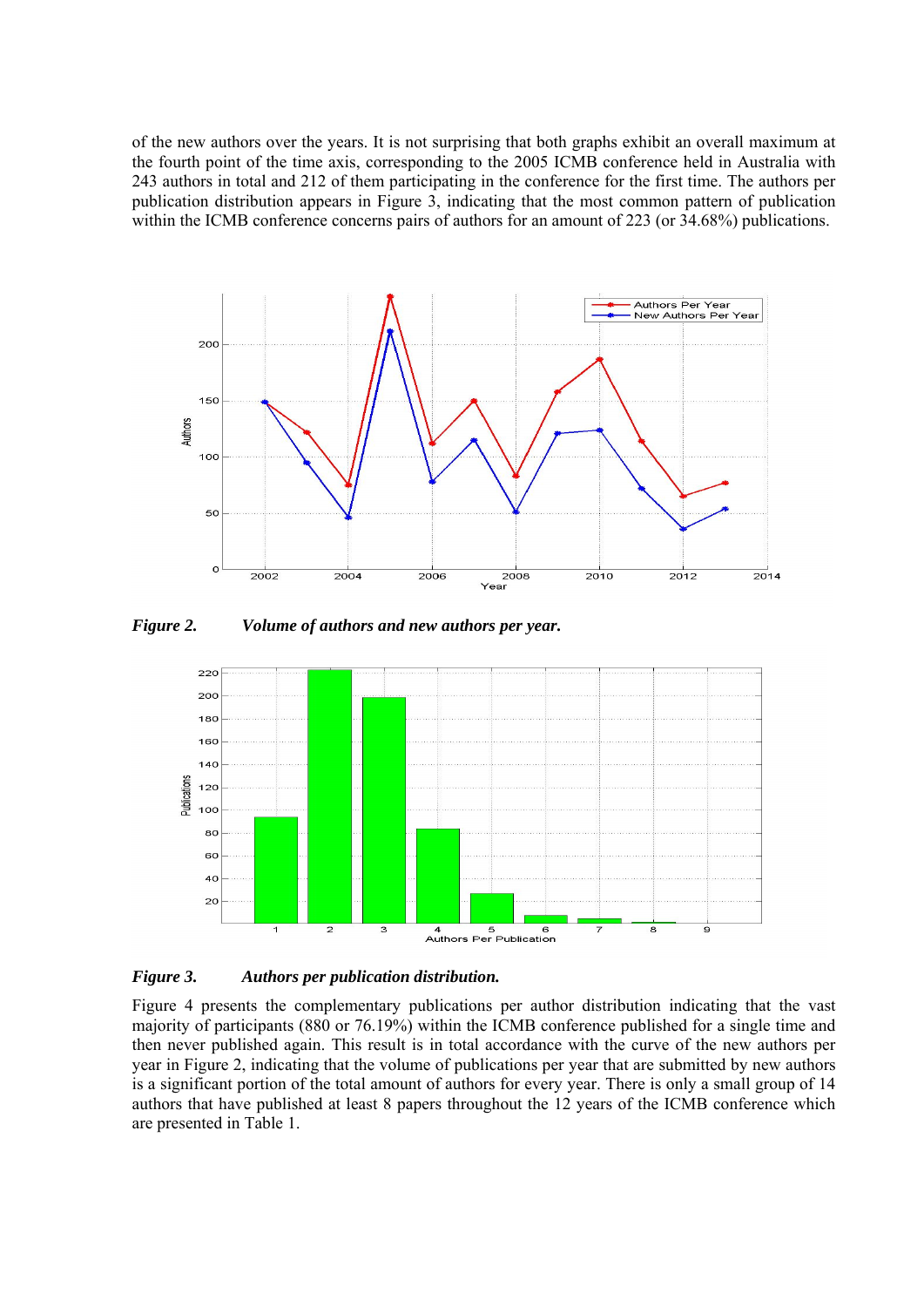of the new authors over the years. It is not surprising that both graphs exhibit an overall maximum at the fourth point of the time axis, corresponding to the 2005 ICMB conference held in Australia with 243 authors in total and 212 of them participating in the conference for the first time. The authors per publication distribution appears in Figure 3, indicating that the most common pattern of publication within the ICMB conference concerns pairs of authors for an amount of 223 (or 34.68%) publications.



*Figure 2. Volume of authors and new authors per year.* 



*Figure 3. Authors per publication distribution.* 

Figure 4 presents the complementary publications per author distribution indicating that the vast majority of participants (880 or 76.19%) within the ICMB conference published for a single time and then never published again. This result is in total accordance with the curve of the new authors per year in Figure 2, indicating that the volume of publications per year that are submitted by new authors is a significant portion of the total amount of authors for every year. There is only a small group of 14 authors that have published at least 8 papers throughout the 12 years of the ICMB conference which are presented in Table 1.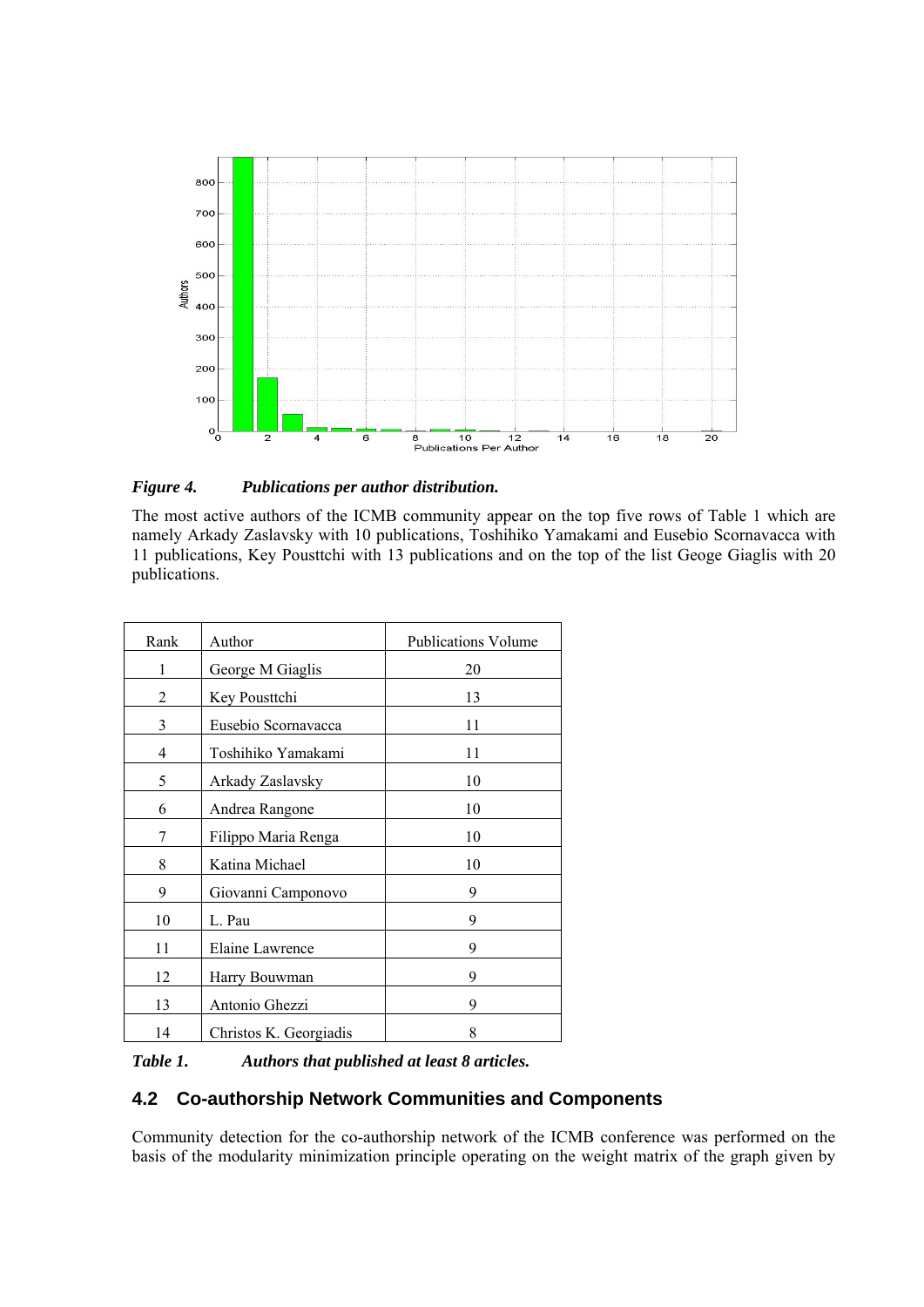

*Figure 4. Publications per author distribution.* 

The most active authors of the ICMB community appear on the top five rows of Table 1 which are namely Arkady Zaslavsky with 10 publications, Toshihiko Yamakami and Eusebio Scornavacca with 11 publications, Key Pousttchi with 13 publications and on the top of the list Geoge Giaglis with 20 publications.

| Rank | Author                 | <b>Publications Volume</b> |
|------|------------------------|----------------------------|
| 1    | George M Giaglis       | 20                         |
| 2    | Key Pousttchi          | 13                         |
| 3    | Eusebio Scornavacca    | 11                         |
| 4    | Toshihiko Yamakami     | 11                         |
| 5    | Arkady Zaslavsky       | 10                         |
| 6    | Andrea Rangone         | 10                         |
| 7    | Filippo Maria Renga    | 10                         |
| 8    | Katina Michael         | 10                         |
| 9    | Giovanni Camponovo     | 9                          |
| 10   | L. Pau                 | 9                          |
| 11   | Elaine Lawrence        | 9                          |
| 12   | Harry Bouwman          | 9                          |
| 13   | Antonio Ghezzi         | 9                          |
| 14   | Christos K. Georgiadis | 8                          |

*Table 1. Authors that published at least 8 articles.* 

### **4.2 Co-authorship Network Communities and Components**

Community detection for the co-authorship network of the ICMB conference was performed on the basis of the modularity minimization principle operating on the weight matrix of the graph given by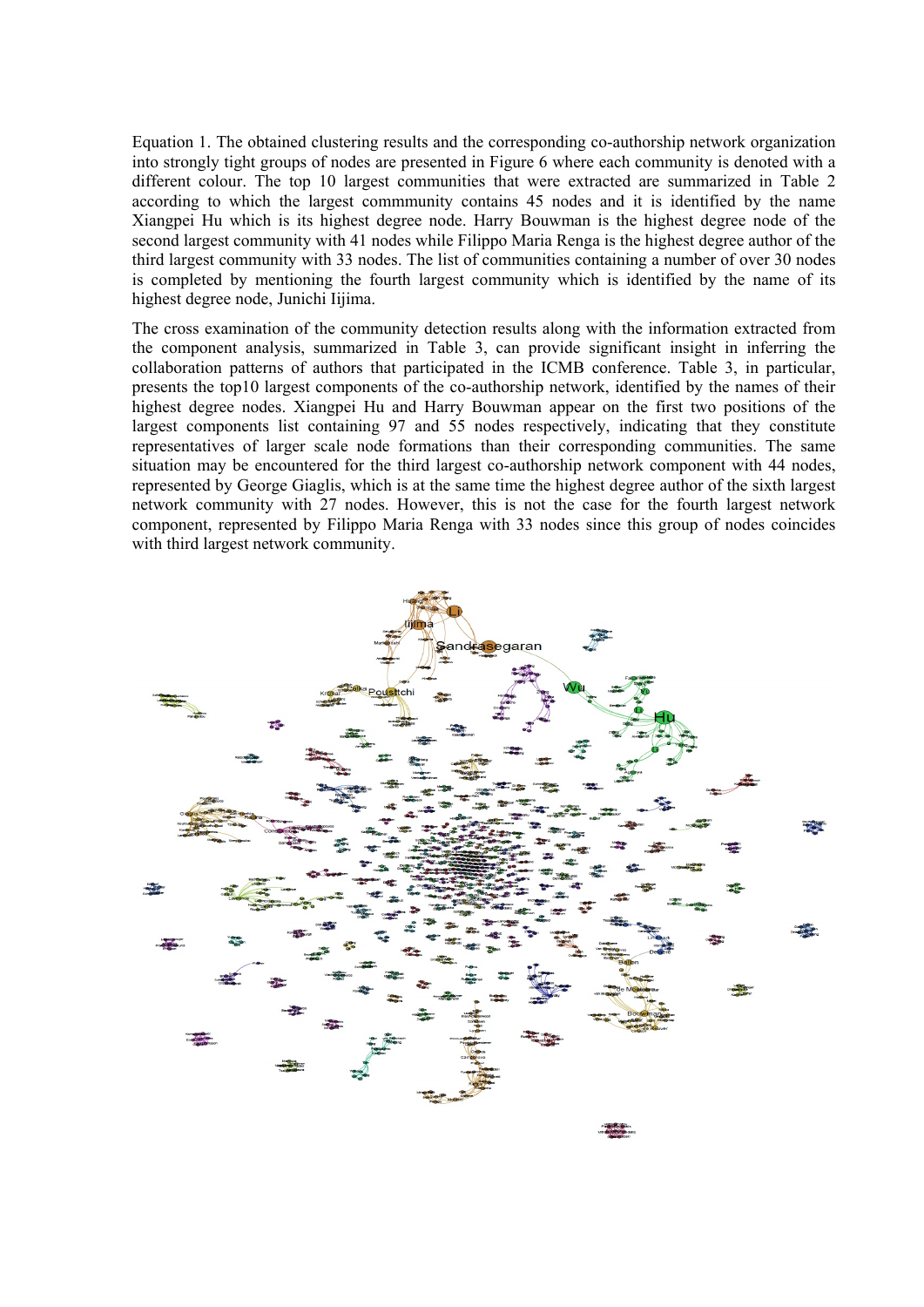Equation 1. The obtained clustering results and the corresponding co-authorship network organization into strongly tight groups of nodes are presented in Figure 6 where each community is denoted with a different colour. The top 10 largest communities that were extracted are summarized in Table 2 according to which the largest commmunity contains 45 nodes and it is identified by the name Xiangpei Hu which is its highest degree node. Harry Bouwman is the highest degree node of the second largest community with 41 nodes while Filippo Maria Renga is the highest degree author of the third largest community with 33 nodes. The list of communities containing a number of over 30 nodes is completed by mentioning the fourth largest community which is identified by the name of its highest degree node, Junichi Iijima.

The cross examination of the community detection results along with the information extracted from the component analysis, summarized in Table 3, can provide significant insight in inferring the collaboration patterns of authors that participated in the ICMB conference. Table 3, in particular, presents the top10 largest components of the co-authorship network, identified by the names of their highest degree nodes. Xiangpei Hu and Harry Bouwman appear on the first two positions of the largest components list containing 97 and 55 nodes respectively, indicating that they constitute representatives of larger scale node formations than their corresponding communities. The same situation may be encountered for the third largest co-authorship network component with 44 nodes, represented by George Giaglis, which is at the same time the highest degree author of the sixth largest network community with 27 nodes. However, this is not the case for the fourth largest network component, represented by Filippo Maria Renga with 33 nodes since this group of nodes coincides with third largest network community.

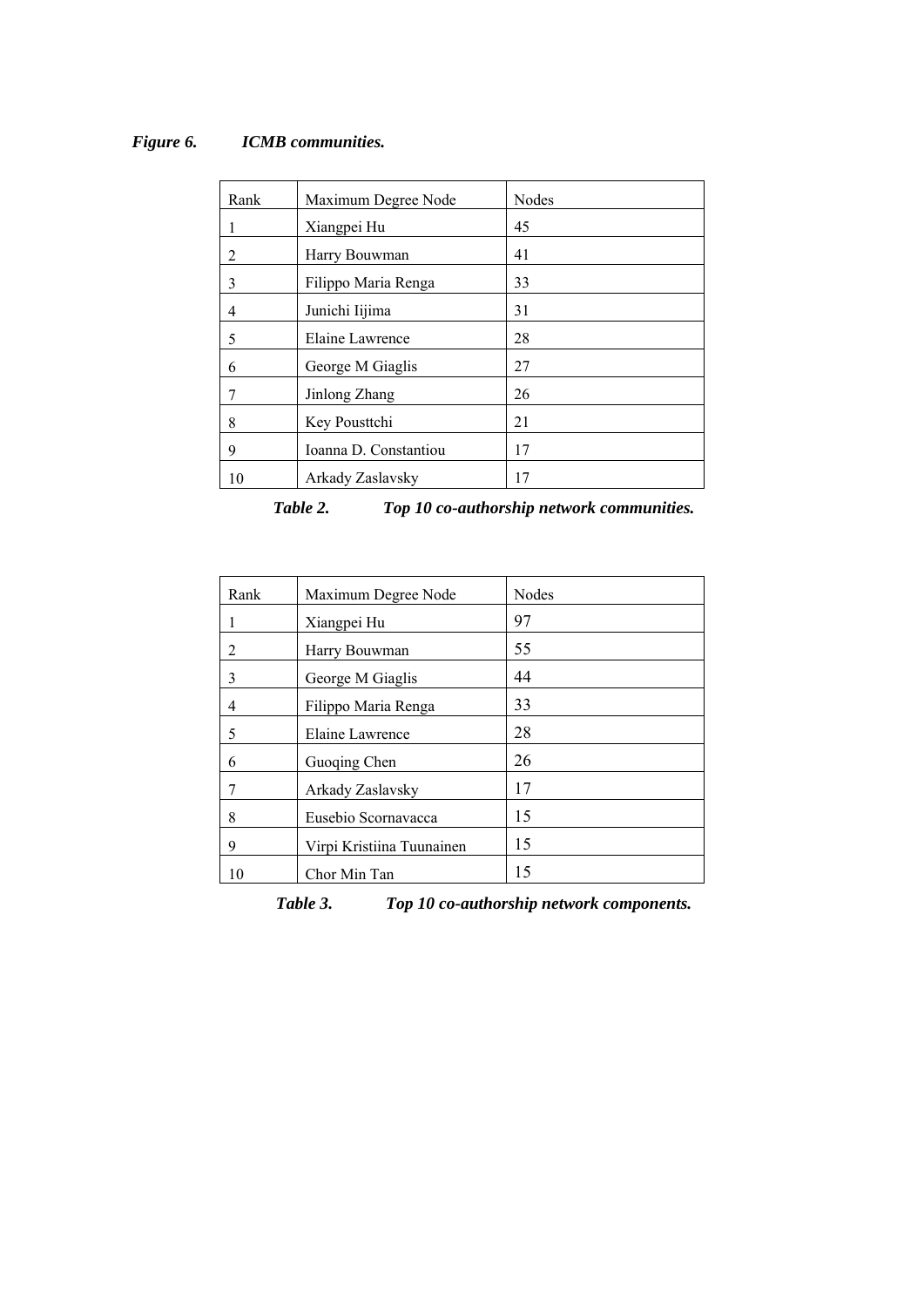| Rank           | Maximum Degree Node   | Nodes |
|----------------|-----------------------|-------|
|                | Xiangpei Hu           | 45    |
| $\overline{2}$ | Harry Bouwman         | 41    |
| 3              | Filippo Maria Renga   | 33    |
| 4              | Junichi Iijima        | 31    |
| 5              | Elaine Lawrence       | 28    |
| 6              | George M Giaglis      | 27    |
| 7              | Jinlong Zhang         | 26    |
| 8              | Key Pousttchi         | 21    |
| 9              | Ioanna D. Constantiou | 17    |
| 10             | Arkady Zaslavsky      | 17    |

### *Figure 6. ICMB communities.*

*Table 2. Top 10 co-authorship network communities.* 

| Rank | Maximum Degree Node       | Nodes |
|------|---------------------------|-------|
| 1    | Xiangpei Hu               | 97    |
| 2    | Harry Bouwman             | 55    |
| 3    | George M Giaglis          | 44    |
| 4    | Filippo Maria Renga       | 33    |
| 5    | Elaine Lawrence           | 28    |
| 6    | Guoqing Chen              | 26    |
| 7    | Arkady Zaslavsky          | 17    |
| 8    | Eusebio Scornavacca       | 15    |
| 9    | Virpi Kristiina Tuunainen | 15    |
| 10   | Chor Min Tan              | 15    |

*Table 3. Top 10 co-authorship network components.*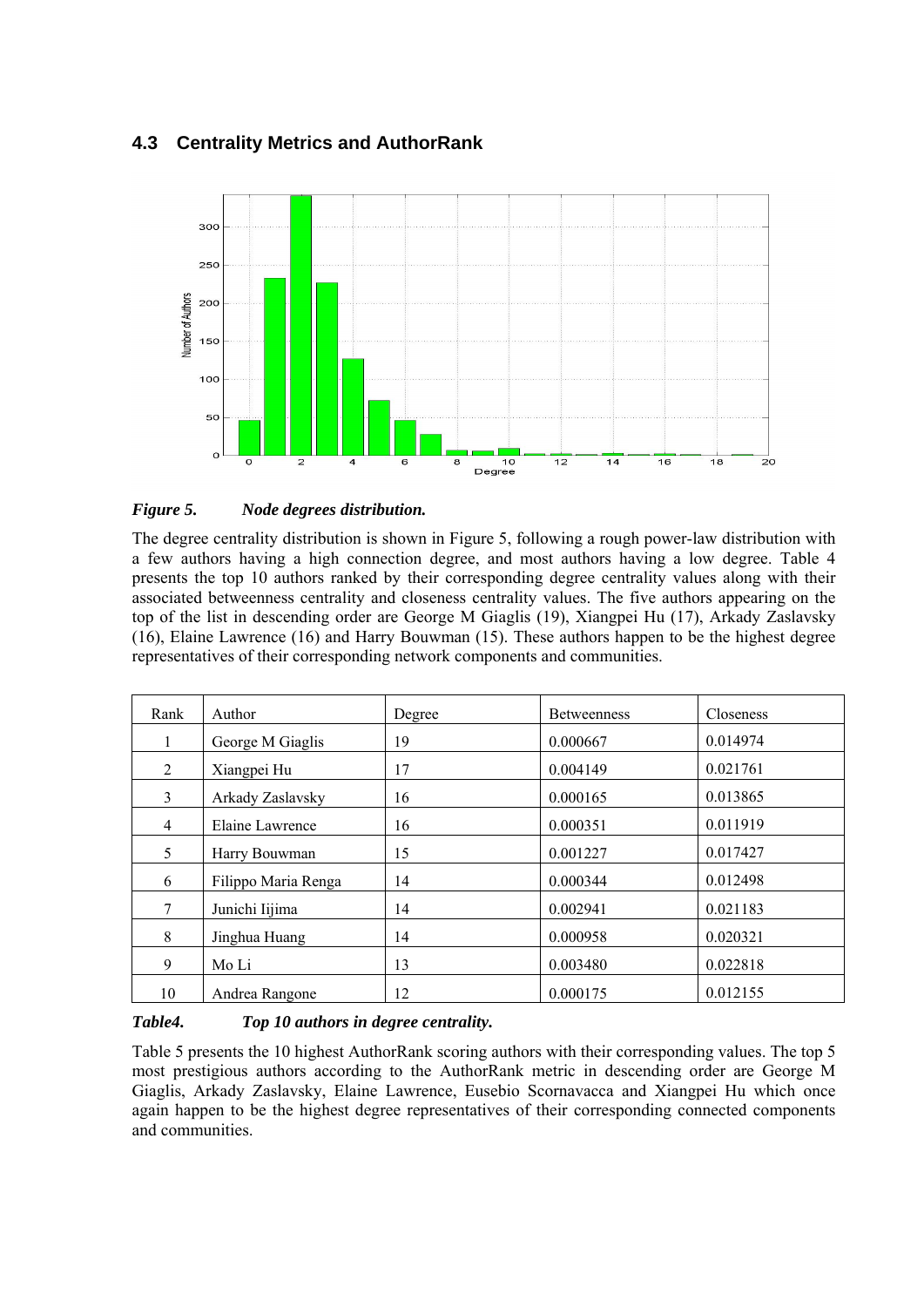### **4.3 Centrality Metrics and AuthorRank**



#### *Figure 5. Node degrees distribution.*

The degree centrality distribution is shown in Figure 5, following a rough power-law distribution with a few authors having a high connection degree, and most authors having a low degree. Table 4 presents the top 10 authors ranked by their corresponding degree centrality values along with their associated betweenness centrality and closeness centrality values. The five authors appearing on the top of the list in descending order are George M Giaglis (19), Xiangpei Hu (17), Arkady Zaslavsky (16), Elaine Lawrence (16) and Harry Bouwman (15). These authors happen to be the highest degree representatives of their corresponding network components and communities.

| Rank           | Author              | Degree | <b>Betweenness</b> | Closeness |
|----------------|---------------------|--------|--------------------|-----------|
|                | George M Giaglis    | 19     | 0.000667           | 0.014974  |
| 2              | Xiangpei Hu         | 17     | 0.004149           | 0.021761  |
| 3              | Arkady Zaslavsky    | 16     | 0.000165           | 0.013865  |
| $\overline{4}$ | Elaine Lawrence     | 16     | 0.000351           | 0.011919  |
| 5              | Harry Bouwman       | 15     | 0.001227           | 0.017427  |
| 6              | Filippo Maria Renga | 14     | 0.000344           | 0.012498  |
| 7              | Junichi Iijima      | 14     | 0.002941           | 0.021183  |
| 8              | Jinghua Huang       | 14     | 0.000958           | 0.020321  |
| 9              | Mo Li               | 13     | 0.003480           | 0.022818  |
| 10             | Andrea Rangone      | 12     | 0.000175           | 0.012155  |

#### *Table4. Top 10 authors in degree centrality.*

Table 5 presents the 10 highest AuthorRank scoring authors with their corresponding values. The top 5 most prestigious authors according to the AuthorRank metric in descending order are George M Giaglis, Arkady Zaslavsky, Elaine Lawrence, Eusebio Scornavacca and Xiangpei Hu which once again happen to be the highest degree representatives of their corresponding connected components and communities.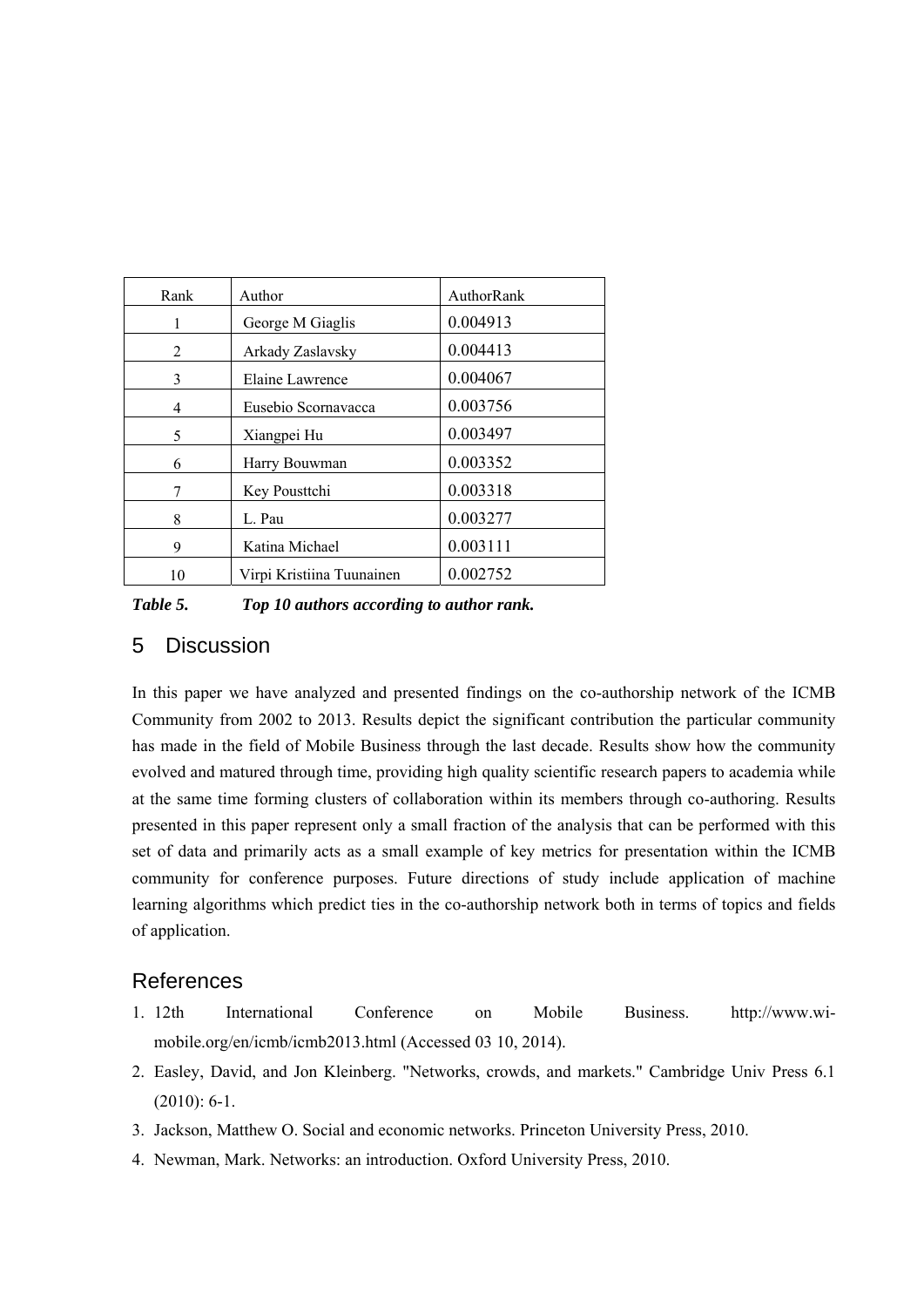| Rank | Author                    | AuthorRank |
|------|---------------------------|------------|
| 1    | George M Giaglis          | 0.004913   |
| 2    | Arkady Zaslavsky          | 0.004413   |
| 3    | Elaine Lawrence           | 0.004067   |
| 4    | Eusebio Scornavacca       | 0.003756   |
| 5    | Xiangpei Hu               | 0.003497   |
| 6    | Harry Bouwman             | 0.003352   |
| 7    | Key Pousttchi             | 0.003318   |
| 8    | L. Pau                    | 0.003277   |
| 9    | Katina Michael            | 0.003111   |
| 10   | Virpi Kristiina Tuunainen | 0.002752   |

*Table 5. Top 10 authors according to author rank.* 

### 5 Discussion

In this paper we have analyzed and presented findings on the co-authorship network of the ICMB Community from 2002 to 2013. Results depict the significant contribution the particular community has made in the field of Mobile Business through the last decade. Results show how the community evolved and matured through time, providing high quality scientific research papers to academia while at the same time forming clusters of collaboration within its members through co-authoring. Results presented in this paper represent only a small fraction of the analysis that can be performed with this set of data and primarily acts as a small example of key metrics for presentation within the ICMB community for conference purposes. Future directions of study include application of machine learning algorithms which predict ties in the co-authorship network both in terms of topics and fields of application.

### References

- 1. 12th International Conference on Mobile Business. http://www.wimobile.org/en/icmb/icmb2013.html (Accessed 03 10, 2014).
- 2. Easley, David, and Jon Kleinberg. "Networks, crowds, and markets." Cambridge Univ Press 6.1 (2010): 6-1.
- 3. Jackson, Matthew O. Social and economic networks. Princeton University Press, 2010.
- 4. Newman, Mark. Networks: an introduction. Oxford University Press, 2010.